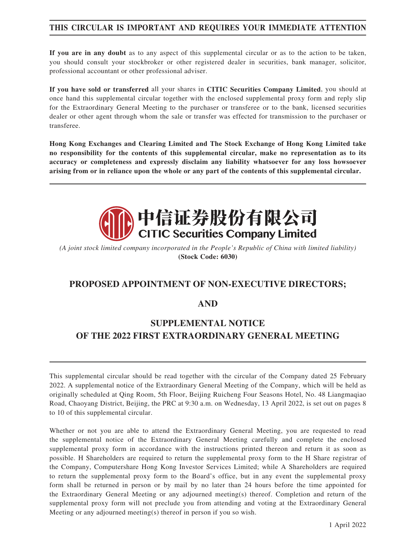# **THIS CIRCULAR IS IMPORTANT AND REQUIRES YOUR IMMEDIATE ATTENTION**

**If you are in any doubt** as to any aspect of this supplemental circular or as to the action to be taken, you should consult your stockbroker or other registered dealer in securities, bank manager, solicitor, professional accountant or other professional adviser.

**If you have sold or transferred** all your shares in **CITIC Securities Company Limited**, you should at once hand this supplemental circular together with the enclosed supplemental proxy form and reply slip for the Extraordinary General Meeting to the purchaser or transferee or to the bank, licensed securities dealer or other agent through whom the sale or transfer was effected for transmission to the purchaser or transferee.

**Hong Kong Exchanges and Clearing Limited and The Stock Exchange of Hong Kong Limited take no responsibility for the contents of this supplemental circular, make no representation as to its accuracy or completeness and expressly disclaim any liability whatsoever for any loss howsoever arising from or in reliance upon the whole or any part of the contents of this supplemental circular.**



*(A joint stock limited company incorporated in the People's Republic of China with limited liability)* **(Stock Code: 6030)**

# **PROPOSED APPOINTMENT OF NON-EXECUTIVE DIRECTORS;**

## **AND**

# **SUPPLEMENTAL NOTICE OF THE 2022 FIRST EXTRAORDINARY GENERAL MEETING**

This supplemental circular should be read together with the circular of the Company dated 25 February 2022. A supplemental notice of the Extraordinary General Meeting of the Company, which will be held as originally scheduled at Qing Room, 5th Floor, Beijing Ruicheng Four Seasons Hotel, No. 48 Liangmaqiao Road, Chaoyang District, Beijing, the PRC at 9:30 a.m. on Wednesday, 13 April 2022, is set out on pages 8 to 10 of this supplemental circular.

Whether or not you are able to attend the Extraordinary General Meeting, you are requested to read the supplemental notice of the Extraordinary General Meeting carefully and complete the enclosed supplemental proxy form in accordance with the instructions printed thereon and return it as soon as possible. H Shareholders are required to return the supplemental proxy form to the H Share registrar of the Company, Computershare Hong Kong Investor Services Limited; while A Shareholders are required to return the supplemental proxy form to the Board's office, but in any event the supplemental proxy form shall be returned in person or by mail by no later than 24 hours before the time appointed for the Extraordinary General Meeting or any adjourned meeting(s) thereof. Completion and return of the supplemental proxy form will not preclude you from attending and voting at the Extraordinary General Meeting or any adjourned meeting(s) thereof in person if you so wish.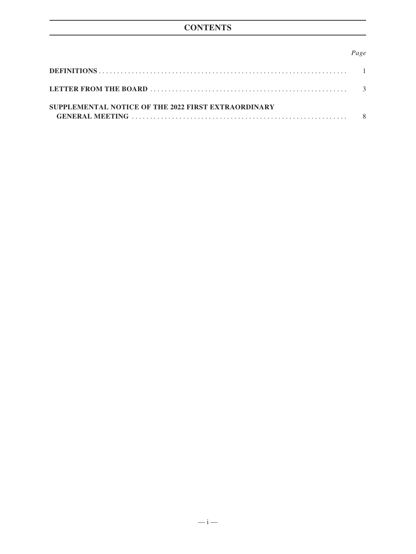# **CONTENTS**

#### *Page*

| SUPPLEMENTAL NOTICE OF THE 2022 FIRST EXTRAORDINARY |  |
|-----------------------------------------------------|--|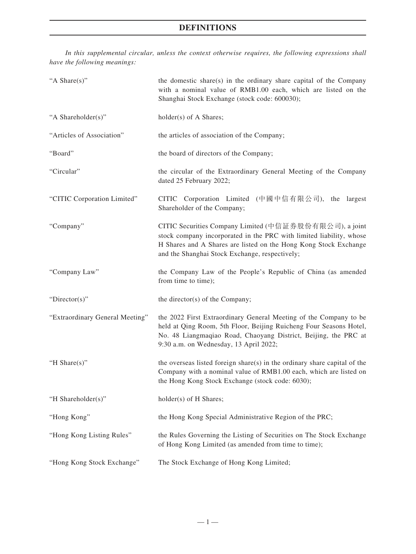*In this supplemental circular, unless the context otherwise requires, the following expressions shall have the following meanings:*

| "A Share(s)"                    | the domestic share(s) in the ordinary share capital of the Company<br>with a nominal value of RMB1.00 each, which are listed on the<br>Shanghai Stock Exchange (stock code: 600030);                                                                 |
|---------------------------------|------------------------------------------------------------------------------------------------------------------------------------------------------------------------------------------------------------------------------------------------------|
| "A Shareholder(s)"              | holder(s) of A Shares;                                                                                                                                                                                                                               |
| "Articles of Association"       | the articles of association of the Company;                                                                                                                                                                                                          |
| "Board"                         | the board of directors of the Company;                                                                                                                                                                                                               |
| "Circular"                      | the circular of the Extraordinary General Meeting of the Company<br>dated 25 February 2022;                                                                                                                                                          |
| "CITIC Corporation Limited"     | CITIC Corporation Limited (中國中信有限公司), the largest<br>Shareholder of the Company;                                                                                                                                                                     |
| "Company"                       | CITIC Securities Company Limited (中信証券股份有限公司), a joint<br>stock company incorporated in the PRC with limited liability, whose<br>H Shares and A Shares are listed on the Hong Kong Stock Exchange<br>and the Shanghai Stock Exchange, respectively;  |
| "Company Law"                   | the Company Law of the People's Republic of China (as amended<br>from time to time);                                                                                                                                                                 |
| "Director(s)"                   | the director(s) of the Company;                                                                                                                                                                                                                      |
| "Extraordinary General Meeting" | the 2022 First Extraordinary General Meeting of the Company to be<br>held at Qing Room, 5th Floor, Beijing Ruicheng Four Seasons Hotel,<br>No. 48 Liangmaqiao Road, Chaoyang District, Beijing, the PRC at<br>9:30 a.m. on Wednesday, 13 April 2022; |
| "H Share(s)"                    | the overseas listed foreign share(s) in the ordinary share capital of the<br>Company with a nominal value of RMB1.00 each, which are listed on<br>the Hong Kong Stock Exchange (stock code: 6030);                                                   |
| "H Shareholder(s)"              | holder(s) of H Shares;                                                                                                                                                                                                                               |
| "Hong Kong"                     | the Hong Kong Special Administrative Region of the PRC;                                                                                                                                                                                              |
| "Hong Kong Listing Rules"       | the Rules Governing the Listing of Securities on The Stock Exchange<br>of Hong Kong Limited (as amended from time to time);                                                                                                                          |
| "Hong Kong Stock Exchange"      | The Stock Exchange of Hong Kong Limited;                                                                                                                                                                                                             |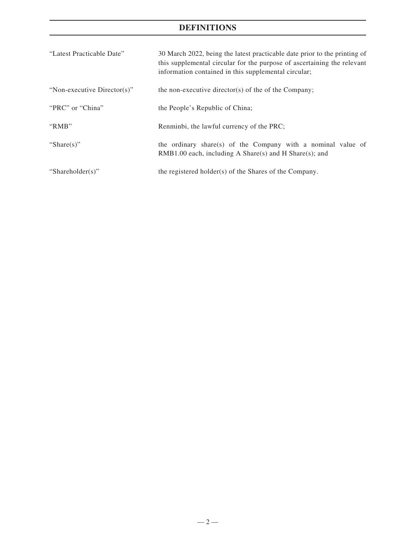# **DEFINITIONS**

| "Latest Practicable Date"   | 30 March 2022, being the latest practicable date prior to the printing of<br>this supplemental circular for the purpose of ascertaining the relevant<br>information contained in this supplemental circular; |
|-----------------------------|--------------------------------------------------------------------------------------------------------------------------------------------------------------------------------------------------------------|
| "Non-executive Director(s)" | the non-executive director(s) of the of the Company;                                                                                                                                                         |
| "PRC" or "China"            | the People's Republic of China;                                                                                                                                                                              |
| "RMB"                       | Renminbi, the lawful currency of the PRC;                                                                                                                                                                    |
| "Share $(s)$ "              | the ordinary share(s) of the Company with a nominal value of<br>$RMB1.00$ each, including A Share(s) and H Share(s); and                                                                                     |
| "Shareholder(s)"            | the registered holder(s) of the Shares of the Company.                                                                                                                                                       |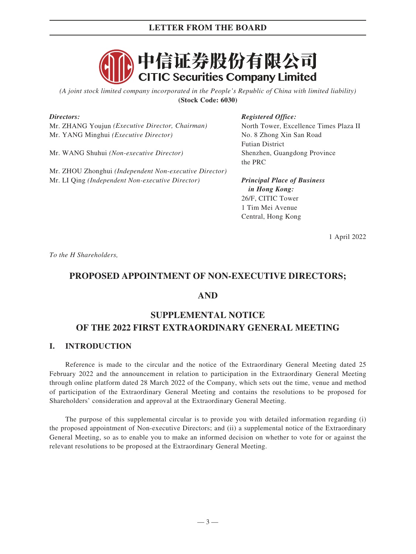

*(A joint stock limited company incorporated in the People's Republic of China with limited liability)* **(Stock Code: 6030)**

#### *Directors:*

Mr. ZHANG Youjun *(Executive Director, Chairman)* Mr. YANG Minghui *(Executive Director)*

Mr. WANG Shuhui *(Non-executive Director)*

Mr. ZHOU Zhonghui *(Independent Non-executive Director)* Mr. LI Qing *(Independent Non-executive Director)*

#### *Registered Office:*

North Tower, Excellence Times Plaza II No. 8 Zhong Xin San Road Futian District Shenzhen, Guangdong Province the PRC

*Principal Place of Business in Hong Kong:* 26/F, CITIC Tower 1 Tim Mei Avenue Central, Hong Kong

1 April 2022

*To the H Shareholders,*

# **PROPOSED APPOINTMENT OF NON-EXECUTIVE DIRECTORS;**

#### **AND**

# **SUPPLEMENTAL NOTICE OF THE 2022 FIRST EXTRAORDINARY GENERAL MEETING**

## **I. INTRODUCTION**

Reference is made to the circular and the notice of the Extraordinary General Meeting dated 25 February 2022 and the announcement in relation to participation in the Extraordinary General Meeting through online platform dated 28 March 2022 of the Company, which sets out the time, venue and method of participation of the Extraordinary General Meeting and contains the resolutions to be proposed for Shareholders' consideration and approval at the Extraordinary General Meeting.

The purpose of this supplemental circular is to provide you with detailed information regarding (i) the proposed appointment of Non-executive Directors; and (ii) a supplemental notice of the Extraordinary General Meeting, so as to enable you to make an informed decision on whether to vote for or against the relevant resolutions to be proposed at the Extraordinary General Meeting.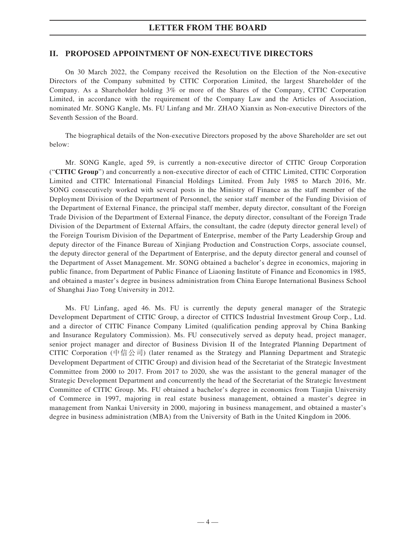#### **II. PROPOSED APPOINTMENT OF NON-EXECUTIVE DIRECTORS**

On 30 March 2022, the Company received the Resolution on the Election of the Non-executive Directors of the Company submitted by CITIC Corporation Limited, the largest Shareholder of the Company. As a Shareholder holding 3% or more of the Shares of the Company, CITIC Corporation Limited, in accordance with the requirement of the Company Law and the Articles of Association, nominated Mr. SONG Kangle, Ms. FU Linfang and Mr. ZHAO Xianxin as Non-executive Directors of the Seventh Session of the Board.

The biographical details of the Non-executive Directors proposed by the above Shareholder are set out below:

Mr. SONG Kangle, aged 59, is currently a non-executive director of CITIC Group Corporation ("**CITIC Group**") and concurrently a non-executive director of each of CITIC Limited, CITIC Corporation Limited and CITIC International Financial Holdings Limited. From July 1985 to March 2016, Mr. SONG consecutively worked with several posts in the Ministry of Finance as the staff member of the Deployment Division of the Department of Personnel, the senior staff member of the Funding Division of the Department of External Finance, the principal staff member, deputy director, consultant of the Foreign Trade Division of the Department of External Finance, the deputy director, consultant of the Foreign Trade Division of the Department of External Affairs, the consultant, the cadre (deputy director general level) of the Foreign Tourism Division of the Department of Enterprise, member of the Party Leadership Group and deputy director of the Finance Bureau of Xinjiang Production and Construction Corps, associate counsel, the deputy director general of the Department of Enterprise, and the deputy director general and counsel of the Department of Asset Management. Mr. SONG obtained a bachelor's degree in economics, majoring in public finance, from Department of Public Finance of Liaoning Institute of Finance and Economics in 1985, and obtained a master's degree in business administration from China Europe International Business School of Shanghai Jiao Tong University in 2012.

Ms. FU Linfang, aged 46. Ms. FU is currently the deputy general manager of the Strategic Development Department of CITIC Group, a director of CITICS Industrial Investment Group Corp., Ltd. and a director of CITIC Finance Company Limited (qualification pending approval by China Banking and Insurance Regulatory Commission). Ms. FU consecutively served as deputy head, project manager, senior project manager and director of Business Division II of the Integrated Planning Department of CITIC Corporation (中信公司) (later renamed as the Strategy and Planning Department and Strategic Development Department of CITIC Group) and division head of the Secretariat of the Strategic Investment Committee from 2000 to 2017. From 2017 to 2020, she was the assistant to the general manager of the Strategic Development Department and concurrently the head of the Secretariat of the Strategic Investment Committee of CITIC Group. Ms. FU obtained a bachelor's degree in economics from Tianjin University of Commerce in 1997, majoring in real estate business management, obtained a master's degree in management from Nankai University in 2000, majoring in business management, and obtained a master's degree in business administration (MBA) from the University of Bath in the United Kingdom in 2006.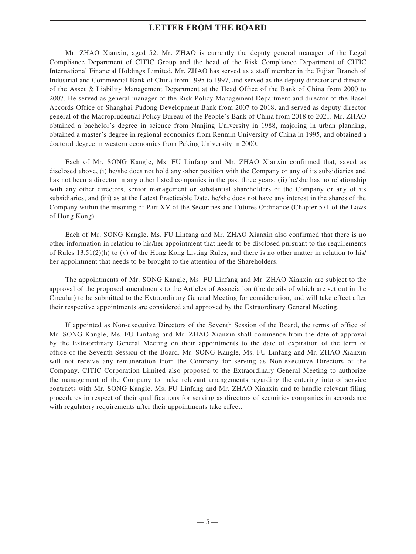Mr. ZHAO Xianxin, aged 52. Mr. ZHAO is currently the deputy general manager of the Legal Compliance Department of CITIC Group and the head of the Risk Compliance Department of CITIC International Financial Holdings Limited. Mr. ZHAO has served as a staff member in the Fujian Branch of Industrial and Commercial Bank of China from 1995 to 1997, and served as the deputy director and director of the Asset & Liability Management Department at the Head Office of the Bank of China from 2000 to 2007. He served as general manager of the Risk Policy Management Department and director of the Basel Accords Office of Shanghai Pudong Development Bank from 2007 to 2018, and served as deputy director general of the Macroprudential Policy Bureau of the People's Bank of China from 2018 to 2021. Mr. ZHAO obtained a bachelor's degree in science from Nanjing University in 1988, majoring in urban planning, obtained a master's degree in regional economics from Renmin University of China in 1995, and obtained a doctoral degree in western economics from Peking University in 2000.

Each of Mr. SONG Kangle, Ms. FU Linfang and Mr. ZHAO Xianxin confirmed that, saved as disclosed above, (i) he/she does not hold any other position with the Company or any of its subsidiaries and has not been a director in any other listed companies in the past three years; (ii) he/she has no relationship with any other directors, senior management or substantial shareholders of the Company or any of its subsidiaries; and (iii) as at the Latest Practicable Date, he/she does not have any interest in the shares of the Company within the meaning of Part XV of the Securities and Futures Ordinance (Chapter 571 of the Laws of Hong Kong).

Each of Mr. SONG Kangle, Ms. FU Linfang and Mr. ZHAO Xianxin also confirmed that there is no other information in relation to his/her appointment that needs to be disclosed pursuant to the requirements of Rules 13.51(2)(h) to (v) of the Hong Kong Listing Rules, and there is no other matter in relation to his/ her appointment that needs to be brought to the attention of the Shareholders.

The appointments of Mr. SONG Kangle, Ms. FU Linfang and Mr. ZHAO Xianxin are subject to the approval of the proposed amendments to the Articles of Association (the details of which are set out in the Circular) to be submitted to the Extraordinary General Meeting for consideration, and will take effect after their respective appointments are considered and approved by the Extraordinary General Meeting.

If appointed as Non-executive Directors of the Seventh Session of the Board, the terms of office of Mr. SONG Kangle, Ms. FU Linfang and Mr. ZHAO Xianxin shall commence from the date of approval by the Extraordinary General Meeting on their appointments to the date of expiration of the term of office of the Seventh Session of the Board. Mr. SONG Kangle, Ms. FU Linfang and Mr. ZHAO Xianxin will not receive any remuneration from the Company for serving as Non-executive Directors of the Company. CITIC Corporation Limited also proposed to the Extraordinary General Meeting to authorize the management of the Company to make relevant arrangements regarding the entering into of service contracts with Mr. SONG Kangle, Ms. FU Linfang and Mr. ZHAO Xianxin and to handle relevant filing procedures in respect of their qualifications for serving as directors of securities companies in accordance with regulatory requirements after their appointments take effect.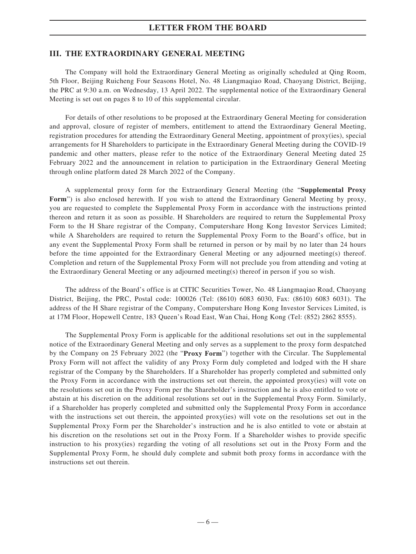#### **III. THE EXTRAORDINARY GENERAL MEETING**

The Company will hold the Extraordinary General Meeting as originally scheduled at Qing Room, 5th Floor, Beijing Ruicheng Four Seasons Hotel, No. 48 Liangmaqiao Road, Chaoyang District, Beijing, the PRC at 9:30 a.m. on Wednesday, 13 April 2022. The supplemental notice of the Extraordinary General Meeting is set out on pages 8 to 10 of this supplemental circular.

For details of other resolutions to be proposed at the Extraordinary General Meeting for consideration and approval, closure of register of members, entitlement to attend the Extraordinary General Meeting, registration procedures for attending the Extraordinary General Meeting, appointment of proxy(ies), special arrangements for H Shareholders to participate in the Extraordinary General Meeting during the COVID-19 pandemic and other matters, please refer to the notice of the Extraordinary General Meeting dated 25 February 2022 and the announcement in relation to participation in the Extraordinary General Meeting through online platform dated 28 March 2022 of the Company.

A supplemental proxy form for the Extraordinary General Meeting (the "**Supplemental Proxy Form**") is also enclosed herewith. If you wish to attend the Extraordinary General Meeting by proxy, you are requested to complete the Supplemental Proxy Form in accordance with the instructions printed thereon and return it as soon as possible. H Shareholders are required to return the Supplemental Proxy Form to the H Share registrar of the Company, Computershare Hong Kong Investor Services Limited; while A Shareholders are required to return the Supplemental Proxy Form to the Board's office, but in any event the Supplemental Proxy Form shall be returned in person or by mail by no later than 24 hours before the time appointed for the Extraordinary General Meeting or any adjourned meeting(s) thereof. Completion and return of the Supplemental Proxy Form will not preclude you from attending and voting at the Extraordinary General Meeting or any adjourned meeting(s) thereof in person if you so wish.

The address of the Board's office is at CITIC Securities Tower, No. 48 Liangmaqiao Road, Chaoyang District, Beijing, the PRC, Postal code: 100026 (Tel: (8610) 6083 6030, Fax: (8610) 6083 6031). The address of the H Share registrar of the Company, Computershare Hong Kong Investor Services Limited, is at 17M Floor, Hopewell Centre, 183 Queen's Road East, Wan Chai, Hong Kong (Tel: (852) 2862 8555).

The Supplemental Proxy Form is applicable for the additional resolutions set out in the supplemental notice of the Extraordinary General Meeting and only serves as a supplement to the proxy form despatched by the Company on 25 February 2022 (the "**Proxy Form**") together with the Circular. The Supplemental Proxy Form will not affect the validity of any Proxy Form duly completed and lodged with the H share registrar of the Company by the Shareholders. If a Shareholder has properly completed and submitted only the Proxy Form in accordance with the instructions set out therein, the appointed proxy(ies) will vote on the resolutions set out in the Proxy Form per the Shareholder's instruction and he is also entitled to vote or abstain at his discretion on the additional resolutions set out in the Supplemental Proxy Form. Similarly, if a Shareholder has properly completed and submitted only the Supplemental Proxy Form in accordance with the instructions set out therein, the appointed proxy(ies) will vote on the resolutions set out in the Supplemental Proxy Form per the Shareholder's instruction and he is also entitled to vote or abstain at his discretion on the resolutions set out in the Proxy Form. If a Shareholder wishes to provide specific instruction to his proxy(ies) regarding the voting of all resolutions set out in the Proxy Form and the Supplemental Proxy Form, he should duly complete and submit both proxy forms in accordance with the instructions set out therein.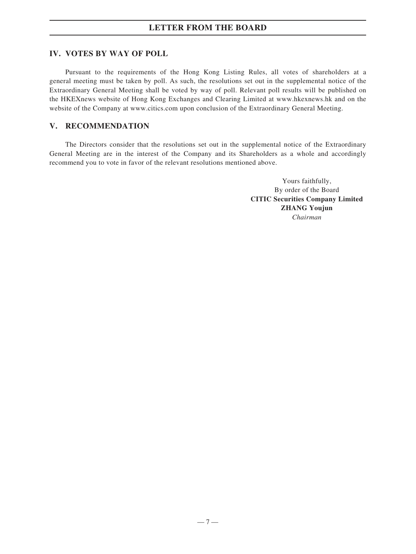### **IV. VOTES BY WAY OF POLL**

Pursuant to the requirements of the Hong Kong Listing Rules, all votes of shareholders at a general meeting must be taken by poll. As such, the resolutions set out in the supplemental notice of the Extraordinary General Meeting shall be voted by way of poll. Relevant poll results will be published on the HKEXnews website of Hong Kong Exchanges and Clearing Limited at www.hkexnews.hk and on the website of the Company at www.citics.com upon conclusion of the Extraordinary General Meeting.

## **V. RECOMMENDATION**

The Directors consider that the resolutions set out in the supplemental notice of the Extraordinary General Meeting are in the interest of the Company and its Shareholders as a whole and accordingly recommend you to vote in favor of the relevant resolutions mentioned above.

> Yours faithfully, By order of the Board **CITIC Securities Company Limited ZHANG Youjun** *Chairman*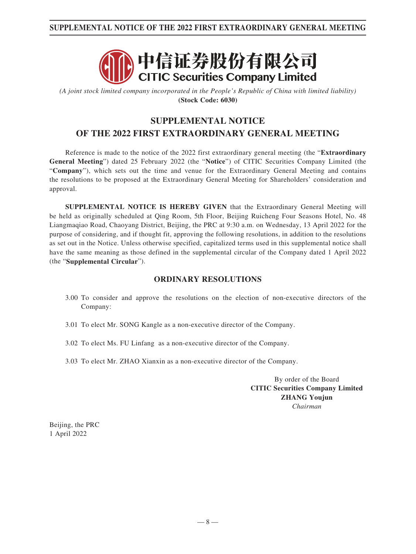# **SUPPLEMENTAL NOTICE OF THE 2022 FIRST EXTRAORDINARY GENERAL MEETING**



*(A joint stock limited company incorporated in the People's Republic of China with limited liability)* **(Stock Code: 6030)**

# **SUPPLEMENTAL NOTICE OF THE 2022 FIRST EXTRAORDINARY GENERAL MEETING**

Reference is made to the notice of the 2022 first extraordinary general meeting (the "**Extraordinary General Meeting**") dated 25 February 2022 (the "**Notice**") of CITIC Securities Company Limited (the "**Company**"), which sets out the time and venue for the Extraordinary General Meeting and contains the resolutions to be proposed at the Extraordinary General Meeting for Shareholders' consideration and approval.

**SUPPLEMENTAL NOTICE IS HEREBY GIVEN** that the Extraordinary General Meeting will be held as originally scheduled at Qing Room, 5th Floor, Beijing Ruicheng Four Seasons Hotel, No. 48 Liangmaqiao Road, Chaoyang District, Beijing, the PRC at 9:30 a.m. on Wednesday, 13 April 2022 for the purpose of considering, and if thought fit, approving the following resolutions, in addition to the resolutions as set out in the Notice. Unless otherwise specified, capitalized terms used in this supplemental notice shall have the same meaning as those defined in the supplemental circular of the Company dated 1 April 2022 (the "**Supplemental Circular**").

#### **ORDINARY RESOLUTIONS**

- 3.00 To consider and approve the resolutions on the election of non-executive directors of the Company:
- 3.01 To elect Mr. SONG Kangle as a non-executive director of the Company.
- 3.02 To elect Ms. FU Linfang as a non-executive director of the Company.
- 3.03 To elect Mr. ZHAO Xianxin as a non-executive director of the Company.

By order of the Board **CITIC Securities Company Limited ZHANG Youjun** *Chairman*

Beijing, the PRC 1 April 2022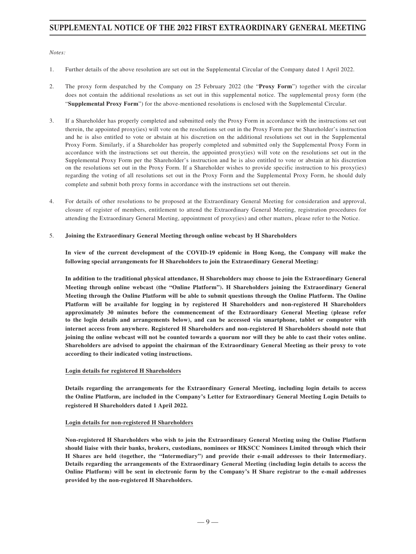## **SUPPLEMENTAL NOTICE OF THE 2022 FIRST EXTRAORDINARY GENERAL MEETING**

*Notes:*

- 1. Further details of the above resolution are set out in the Supplemental Circular of the Company dated 1 April 2022.
- 2. The proxy form despatched by the Company on 25 February 2022 (the "**Proxy Form**") together with the circular does not contain the additional resolutions as set out in this supplemental notice. The supplemental proxy form (the "**Supplemental Proxy Form**") for the above-mentioned resolutions is enclosed with the Supplemental Circular.
- 3. If a Shareholder has properly completed and submitted only the Proxy Form in accordance with the instructions set out therein, the appointed proxy(ies) will vote on the resolutions set out in the Proxy Form per the Shareholder's instruction and he is also entitled to vote or abstain at his discretion on the additional resolutions set out in the Supplemental Proxy Form. Similarly, if a Shareholder has properly completed and submitted only the Supplemental Proxy Form in accordance with the instructions set out therein, the appointed proxy(ies) will vote on the resolutions set out in the Supplemental Proxy Form per the Shareholder's instruction and he is also entitled to vote or abstain at his discretion on the resolutions set out in the Proxy Form. If a Shareholder wishes to provide specific instruction to his proxy(ies) regarding the voting of all resolutions set out in the Proxy Form and the Supplemental Proxy Form, he should duly complete and submit both proxy forms in accordance with the instructions set out therein.
- 4. For details of other resolutions to be proposed at the Extraordinary General Meeting for consideration and approval, closure of register of members, entitlement to attend the Extraordinary General Meeting, registration procedures for attending the Extraordinary General Meeting, appointment of proxy(ies) and other matters, please refer to the Notice.
- 5. **Joining the Extraordinary General Meeting through online webcast by H Shareholders**

**In view of the current development of the COVID-19 epidemic in Hong Kong, the Company will make the following special arrangements for H Shareholders to join the Extraordinary General Meeting:**

**In addition to the traditional physical attendance, H Shareholders may choose to join the Extraordinary General Meeting through online webcast (the "Online Platform"). H Shareholders joining the Extraordinary General Meeting through the Online Platform will be able to submit questions through the Online Platform. The Online Platform will be available for logging in by registered H Shareholders and non-registered H Shareholders approximately 30 minutes before the commencement of the Extraordinary General Meeting (please refer to the login details and arrangements below), and can be accessed via smartphone, tablet or computer with internet access from anywhere. Registered H Shareholders and non-registered H Shareholders should note that joining the online webcast will not be counted towards a quorum nor will they be able to cast their votes online. Shareholders are advised to appoint the chairman of the Extraordinary General Meeting as their proxy to vote according to their indicated voting instructions.**

#### **Login details for registered H Shareholders**

**Details regarding the arrangements for the Extraordinary General Meeting, including login details to access the Online Platform, are included in the Company's Letter for Extraordinary General Meeting Login Details to registered H Shareholders dated 1 April 2022.**

#### **Login details for non-registered H Shareholders**

**Non-registered H Shareholders who wish to join the Extraordinary General Meeting using the Online Platform should liaise with their banks, brokers, custodians, nominees or HKSCC Nominees Limited through which their H Shares are held (together, the "Intermediary") and provide their e-mail addresses to their Intermediary. Details regarding the arrangements of the Extraordinary General Meeting (including login details to access the Online Platform) will be sent in electronic form by the Company's H Share registrar to the e-mail addresses provided by the non-registered H Shareholders.**